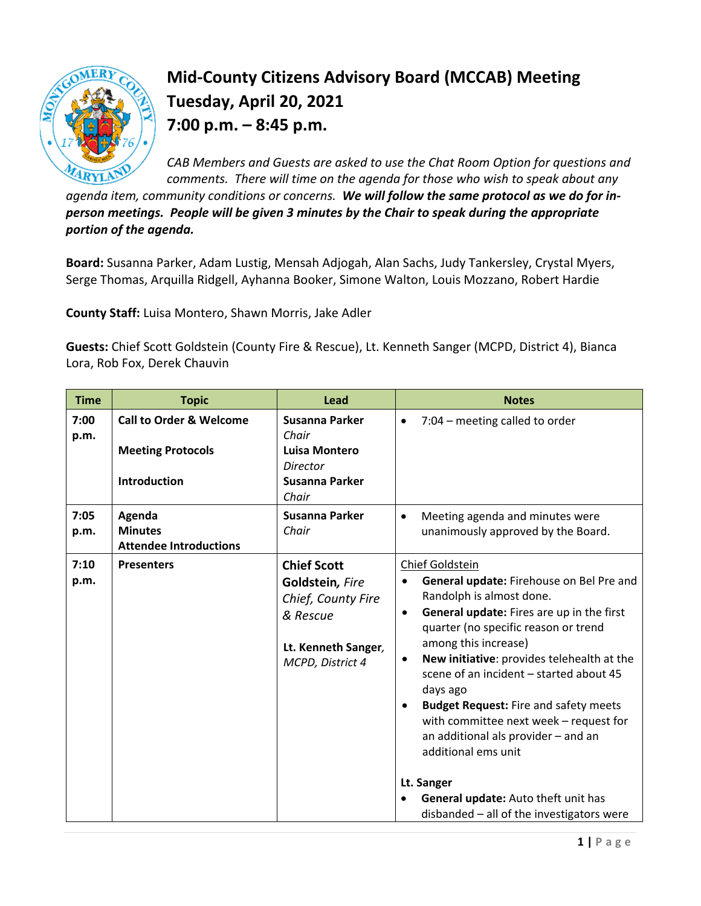

## **Mid-County Citizens Advisory Board (MCCAB) Meeting Tuesday, April 20, 2021 7:00 p.m. – 8:45 p.m.**

*CAB Members and Guests are asked to use the Chat Room Option for questions and comments. There will time on the agenda for those who wish to speak about any* 

*agenda item, community conditions or concerns. We will follow the same protocol as we do for inperson meetings. People will be given 3 minutes by the Chair to speak during the appropriate portion of the agenda.* 

**Board:** Susanna Parker, Adam Lustig, Mensah Adjogah, Alan Sachs, Judy Tankersley, Crystal Myers, Serge Thomas, Arquilla Ridgell, Ayhanna Booker, Simone Walton, Louis Mozzano, Robert Hardie

**County Staff:** Luisa Montero, Shawn Morris, Jake Adler

**Guests:** Chief Scott Goldstein (County Fire & Rescue), Lt. Kenneth Sanger (MCPD, District 4), Bianca Lora, Rob Fox, Derek Chauvin

| <b>Time</b>  | <b>Topic</b>                                                                          | Lead                                                                                                               | <b>Notes</b>                                                                                                                                                                                                                                                                                                                                                                                                                                                                                                                                                                                               |
|--------------|---------------------------------------------------------------------------------------|--------------------------------------------------------------------------------------------------------------------|------------------------------------------------------------------------------------------------------------------------------------------------------------------------------------------------------------------------------------------------------------------------------------------------------------------------------------------------------------------------------------------------------------------------------------------------------------------------------------------------------------------------------------------------------------------------------------------------------------|
| 7:00<br>p.m. | <b>Call to Order &amp; Welcome</b><br><b>Meeting Protocols</b><br><b>Introduction</b> | <b>Susanna Parker</b><br>Chair<br>Luisa Montero<br><b>Director</b><br>Susanna Parker<br>Chair                      | 7:04 - meeting called to order<br>$\bullet$                                                                                                                                                                                                                                                                                                                                                                                                                                                                                                                                                                |
| 7:05<br>p.m. | Agenda<br><b>Minutes</b><br><b>Attendee Introductions</b>                             | Susanna Parker<br>Chair                                                                                            | Meeting agenda and minutes were<br>unanimously approved by the Board.                                                                                                                                                                                                                                                                                                                                                                                                                                                                                                                                      |
| 7:10<br>p.m. | <b>Presenters</b>                                                                     | <b>Chief Scott</b><br>Goldstein, Fire<br>Chief, County Fire<br>& Rescue<br>Lt. Kenneth Sanger,<br>MCPD, District 4 | Chief Goldstein<br>General update: Firehouse on Bel Pre and<br>$\bullet$<br>Randolph is almost done.<br>General update: Fires are up in the first<br>$\bullet$<br>quarter (no specific reason or trend<br>among this increase)<br>New initiative: provides telehealth at the<br>$\bullet$<br>scene of an incident - started about 45<br>days ago<br><b>Budget Request: Fire and safety meets</b><br>with committee next week - request for<br>an additional als provider - and an<br>additional ems unit<br>Lt. Sanger<br>General update: Auto theft unit has<br>disbanded - all of the investigators were |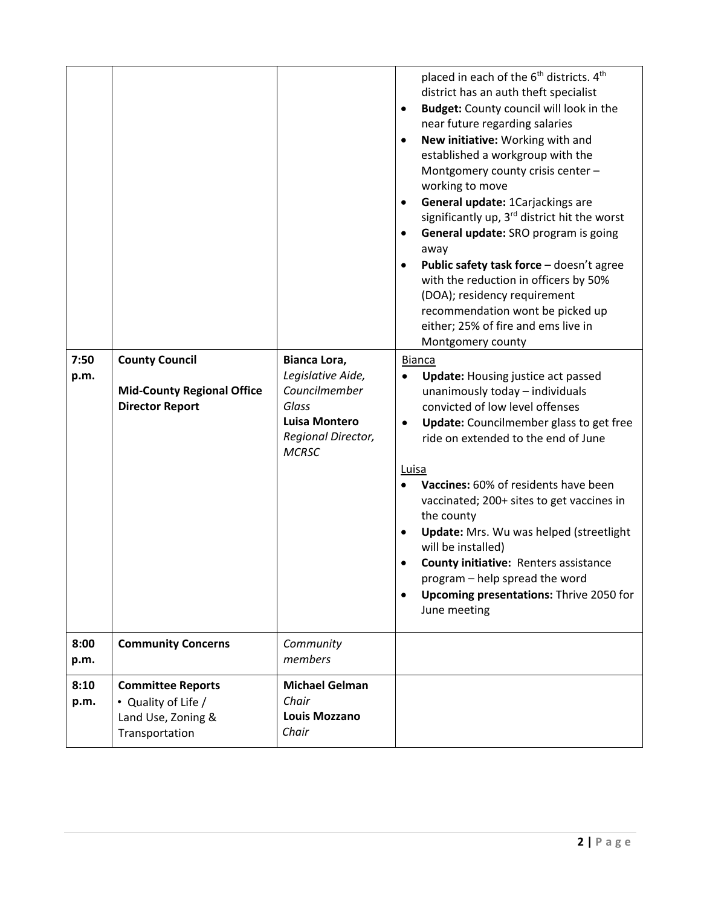|              |                                                                                         |                                                                                                                           | placed in each of the 6 <sup>th</sup> districts. 4 <sup>th</sup><br>district has an auth theft specialist<br>Budget: County council will look in the<br>٠<br>near future regarding salaries<br>New initiative: Working with and<br>established a workgroup with the<br>Montgomery county crisis center -<br>working to move<br>General update: 1Carjackings are<br>significantly up, 3 <sup>rd</sup> district hit the worst<br>General update: SRO program is going<br>away<br>Public safety task force - doesn't agree<br>with the reduction in officers by 50%<br>(DOA); residency requirement<br>recommendation wont be picked up<br>either; 25% of fire and ems live in<br>Montgomery county |
|--------------|-----------------------------------------------------------------------------------------|---------------------------------------------------------------------------------------------------------------------------|--------------------------------------------------------------------------------------------------------------------------------------------------------------------------------------------------------------------------------------------------------------------------------------------------------------------------------------------------------------------------------------------------------------------------------------------------------------------------------------------------------------------------------------------------------------------------------------------------------------------------------------------------------------------------------------------------|
| 7:50<br>p.m. | <b>County Council</b><br><b>Mid-County Regional Office</b><br><b>Director Report</b>    | Bianca Lora,<br>Legislative Aide,<br>Councilmember<br>Glass<br><b>Luisa Montero</b><br>Regional Director,<br><b>MCRSC</b> | <b>Bianca</b><br><b>Update:</b> Housing justice act passed<br>$\bullet$<br>unanimously today - individuals<br>convicted of low level offenses<br><b>Update:</b> Councilmember glass to get free<br>ride on extended to the end of June<br>Luisa<br>Vaccines: 60% of residents have been<br>vaccinated; 200+ sites to get vaccines in<br>the county<br>Update: Mrs. Wu was helped (streetlight<br>will be installed)<br>County initiative: Renters assistance<br>program - help spread the word<br><b>Upcoming presentations: Thrive 2050 for</b><br>June meeting                                                                                                                                 |
| 8:00<br>p.m. | <b>Community Concerns</b>                                                               | Community<br>members                                                                                                      |                                                                                                                                                                                                                                                                                                                                                                                                                                                                                                                                                                                                                                                                                                  |
| 8:10<br>p.m. | <b>Committee Reports</b><br>• Quality of Life /<br>Land Use, Zoning &<br>Transportation | <b>Michael Gelman</b><br>Chair<br><b>Louis Mozzano</b><br>Chair                                                           |                                                                                                                                                                                                                                                                                                                                                                                                                                                                                                                                                                                                                                                                                                  |